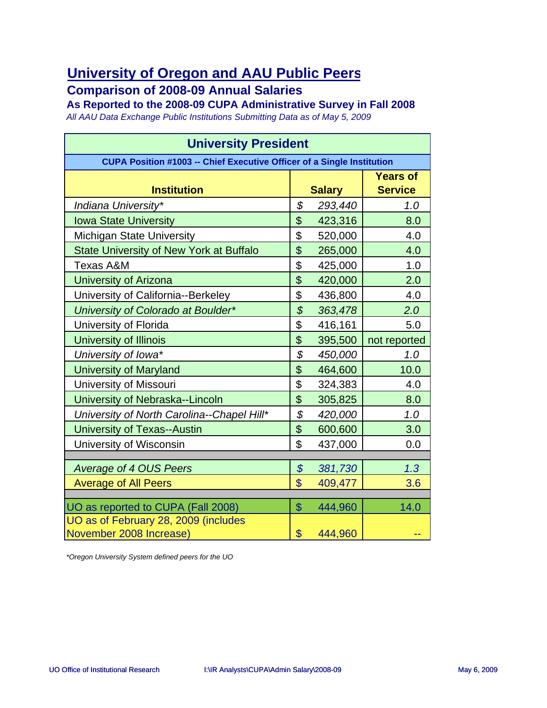#### **Comparison of 2008-09 Annual Salaries**

**As Reported to the 2008-09 CUPA Administrative Survey in Fall 2008**

*All AAU Data Exchange Public Institutions Submitting Data as of May 5, 2009*

| <b>University President</b>                                            |                            |               |                                   |
|------------------------------------------------------------------------|----------------------------|---------------|-----------------------------------|
| CUPA Position #1003 -- Chief Executive Officer of a Single Institution |                            |               |                                   |
| <b>Institution</b>                                                     |                            | <b>Salary</b> | <b>Years of</b><br><b>Service</b> |
| Indiana University*                                                    | \$                         | 293,440       | 1.0                               |
| <b>Iowa State University</b>                                           | \$                         | 423,316       | 8.0                               |
| <b>Michigan State University</b>                                       | \$                         | 520,000       | 4.0                               |
| <b>State University of New York at Buffalo</b>                         | \$                         | 265,000       | 4.0                               |
| <b>Texas A&amp;M</b>                                                   | \$                         | 425,000       | 1.0                               |
| <b>University of Arizona</b>                                           | \$                         | 420,000       | 2.0                               |
| University of California--Berkeley                                     | \$                         | 436,800       | 4.0                               |
| University of Colorado at Boulder*                                     | $\mathcal{S}$              | 363,478       | 2.0                               |
| University of Florida                                                  | \$                         | 416,161       | 5.0                               |
| University of Illinois                                                 | \$                         | 395,500       | not reported                      |
| University of Iowa*                                                    | \$                         | 450,000       | 1.0                               |
| <b>University of Maryland</b>                                          | \$                         | 464,600       | 10.0                              |
| <b>University of Missouri</b>                                          | \$                         | 324,383       | 4.0                               |
| University of Nebraska--Lincoln                                        | \$                         | 305,825       | 8.0                               |
| University of North Carolina--Chapel Hill*                             | \$                         | 420,000       | 1.0                               |
| <b>University of Texas--Austin</b>                                     | \$                         | 600,600       | 3.0                               |
| University of Wisconsin                                                | \$                         | 437,000       | 0.0                               |
|                                                                        |                            |               |                                   |
| Average of 4 OUS Peers                                                 | $\boldsymbol{\mathcal{S}}$ | 381,730       | 1.3                               |
| <b>Average of All Peers</b>                                            | $\mathbf{\$}$              | 409,477       | 3.6                               |
| UO as reported to CUPA (Fall 2008)                                     | $\mathcal{S}$              | 444,960       | 14.0                              |
| UO as of February 28, 2009 (includes<br>November 2008 Increase)        | \$                         | 444,960       |                                   |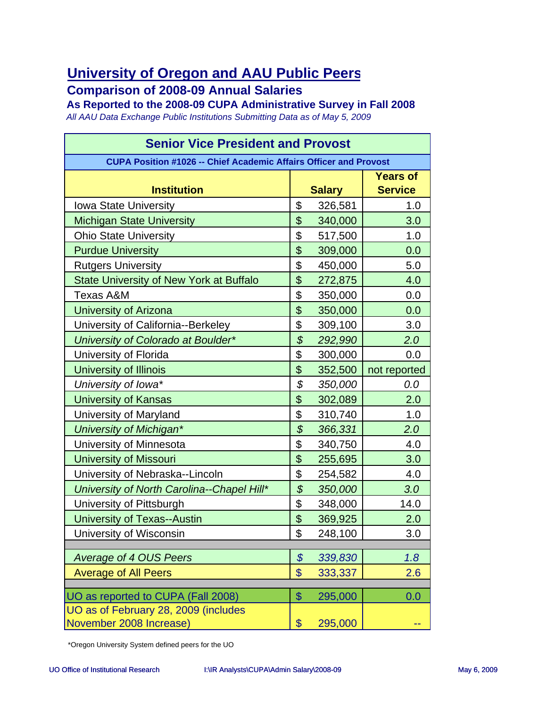#### **Comparison of 2008-09 Annual Salaries**

**As Reported to the 2008-09 CUPA Administrative Survey in Fall 2008** *All AAU Data Exchange Public Institutions Submitting Data as of May 5, 2009*

| <b>Senior Vice President and Provost</b>                                 |                                             |               |                                   |
|--------------------------------------------------------------------------|---------------------------------------------|---------------|-----------------------------------|
| <b>CUPA Position #1026 -- Chief Academic Affairs Officer and Provost</b> |                                             |               |                                   |
| <b>Institution</b>                                                       |                                             | <b>Salary</b> | <b>Years of</b><br><b>Service</b> |
| <b>Iowa State University</b>                                             | \$                                          | 326,581       | 1.0                               |
| <b>Michigan State University</b>                                         | \$                                          | 340,000       | 3.0                               |
| <b>Ohio State University</b>                                             | \$                                          | 517,500       | 1.0                               |
| <b>Purdue University</b>                                                 | \$                                          | 309,000       | 0.0                               |
| <b>Rutgers University</b>                                                | \$                                          | 450,000       | 5.0                               |
| <b>State University of New York at Buffalo</b>                           | \$                                          | 272,875       | 4.0                               |
| <b>Texas A&amp;M</b>                                                     | \$                                          | 350,000       | 0.0                               |
| University of Arizona                                                    | \$                                          | 350,000       | 0.0                               |
| University of California--Berkeley                                       | \$                                          | 309,100       | 3.0                               |
| University of Colorado at Boulder*                                       | $\boldsymbol{\mathcal{S}}$                  | 292,990       | 2.0                               |
| University of Florida                                                    | \$                                          | 300,000       | 0.0                               |
| <b>University of Illinois</b>                                            | \$                                          | 352,500       | not reported                      |
| University of Iowa*                                                      | \$                                          | 350,000       | 0.0                               |
| <b>University of Kansas</b>                                              | \$                                          | 302,089       | 2.0                               |
| University of Maryland                                                   | \$                                          | 310,740       | 1.0                               |
| <b>University of Michigan*</b>                                           | $\boldsymbol{\mathcal{S}}$                  | 366,331       | 2.0                               |
| University of Minnesota                                                  | \$                                          | 340,750       | 4.0                               |
| <b>University of Missouri</b>                                            | \$                                          | 255,695       | 3.0                               |
| University of Nebraska--Lincoln                                          | \$                                          | 254,582       | 4.0                               |
| University of North Carolina--Chapel Hill*                               | $\boldsymbol{\mathcal{S}}$                  | 350,000       | 3.0                               |
| University of Pittsburgh                                                 | \$                                          | 348,000       | 14.0                              |
| University of Texas--Austin                                              | \$                                          | 369,925       | 2.0                               |
| University of Wisconsin                                                  | \$                                          | 248,100       | 3.0                               |
|                                                                          |                                             |               |                                   |
| <b>Average of 4 OUS Peers</b>                                            | $\boldsymbol{\mathcal{S}}$<br>$\frac{1}{2}$ | 339,830       | 1.8                               |
| <b>Average of All Peers</b>                                              |                                             | 333,337       | 2.6                               |
| UO as reported to CUPA (Fall 2008)                                       | $\mathcal{S}$                               | 295,000       | 0.0                               |
| UO as of February 28, 2009 (includes                                     |                                             |               |                                   |
| November 2008 Increase)                                                  | \$                                          | 295,000       |                                   |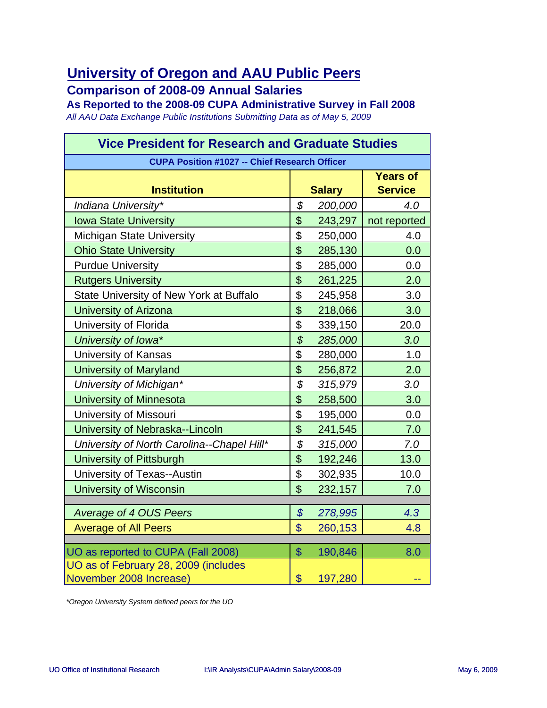**Comparison of 2008-09 Annual Salaries**

**As Reported to the 2008-09 CUPA Administrative Survey in Fall 2008** *All AAU Data Exchange Public Institutions Submitting Data as of May 5, 2009*

| <b>Vice President for Research and Graduate Studies</b> |                            |               |                                   |
|---------------------------------------------------------|----------------------------|---------------|-----------------------------------|
| <b>CUPA Position #1027 -- Chief Research Officer</b>    |                            |               |                                   |
| <b>Institution</b>                                      |                            | <b>Salary</b> | <b>Years of</b><br><b>Service</b> |
| Indiana University*                                     | \$                         | 200,000       | 4.0                               |
| <b>Iowa State University</b>                            | \$                         | 243,297       | not reported                      |
| <b>Michigan State University</b>                        | \$                         | 250,000       | 4.0                               |
| <b>Ohio State University</b>                            | \$                         | 285,130       | 0.0                               |
| <b>Purdue University</b>                                | \$                         | 285,000       | 0.0                               |
| <b>Rutgers University</b>                               | \$                         | 261,225       | 2.0                               |
| State University of New York at Buffalo                 | \$                         | 245,958       | 3.0                               |
| University of Arizona                                   | \$                         | 218,066       | 3.0                               |
| University of Florida                                   | \$                         | 339,150       | 20.0                              |
| University of Iowa*                                     | \$                         | 285,000       | 3.0                               |
| <b>University of Kansas</b>                             | \$                         | 280,000       | 1.0                               |
| <b>University of Maryland</b>                           | \$                         | 256,872       | 2.0                               |
| University of Michigan*                                 | \$                         | 315,979       | 3.0                               |
| <b>University of Minnesota</b>                          | \$                         | 258,500       | 3.0                               |
| <b>University of Missouri</b>                           | \$                         | 195,000       | 0.0                               |
| University of Nebraska--Lincoln                         | \$                         | 241,545       | 7.0                               |
| University of North Carolina--Chapel Hill*              | \$                         | 315,000       | 7.0                               |
| <b>University of Pittsburgh</b>                         | \$                         | 192,246       | 13.0                              |
| University of Texas--Austin                             | \$                         | 302,935       | 10.0                              |
| <b>University of Wisconsin</b>                          | \$                         | 232,157       | 7.0                               |
|                                                         |                            |               |                                   |
| <b>Average of 4 OUS Peers</b>                           | $\boldsymbol{\mathcal{S}}$ | 278,995       | 4.3                               |
| <b>Average of All Peers</b>                             | $\boldsymbol{\mathsf{S}}$  | 260,153       | 4.8                               |
| UO as reported to CUPA (Fall 2008)                      | $\mathcal{S}$              | 190,846       | 8.0                               |
| UO as of February 28, 2009 (includes                    |                            |               |                                   |
| November 2008 Increase)                                 | \$                         | 197,280       | --                                |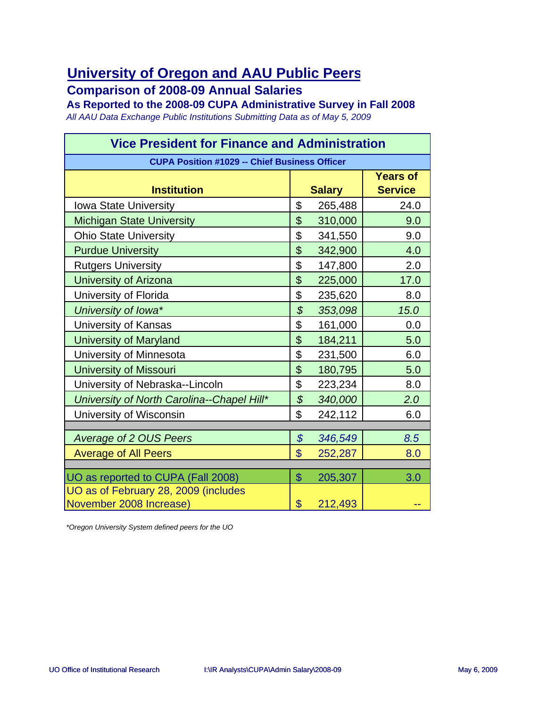**Comparison of 2008-09 Annual Salaries**

**As Reported to the 2008-09 CUPA Administrative Survey in Fall 2008** *All AAU Data Exchange Public Institutions Submitting Data as of May 5, 2009*

| <b>Vice President for Finance and Administration</b> |                            |               |                                   |
|------------------------------------------------------|----------------------------|---------------|-----------------------------------|
| <b>CUPA Position #1029 -- Chief Business Officer</b> |                            |               |                                   |
| <b>Institution</b>                                   |                            | <b>Salary</b> | <b>Years of</b><br><b>Service</b> |
| <b>Iowa State University</b>                         | \$                         | 265,488       | 24.0                              |
| <b>Michigan State University</b>                     | \$                         | 310,000       | 9.0                               |
| <b>Ohio State University</b>                         | \$                         | 341,550       | 9.0                               |
| <b>Purdue University</b>                             | \$                         | 342,900       | 4.0                               |
| <b>Rutgers University</b>                            | \$                         | 147,800       | 2.0                               |
| <b>University of Arizona</b>                         | \$                         | 225,000       | 17.0                              |
| University of Florida                                | \$                         | 235,620       | 8.0                               |
| University of Iowa*                                  | $\mathcal{L}$              | 353,098       | 15.0                              |
| University of Kansas                                 | \$                         | 161,000       | 0.0                               |
| <b>University of Maryland</b>                        | \$                         | 184,211       | 5.0                               |
| University of Minnesota                              | \$                         | 231,500       | 6.0                               |
| <b>University of Missouri</b>                        | \$                         | 180,795       | 5.0                               |
| University of Nebraska--Lincoln                      | \$                         | 223,234       | 8.0                               |
| University of North Carolina--Chapel Hill*           | $\boldsymbol{\mathcal{S}}$ | 340,000       | 2.0                               |
| University of Wisconsin                              | \$                         | 242,112       | 6.0                               |
|                                                      |                            |               |                                   |
| <b>Average of 2 OUS Peers</b>                        | $\boldsymbol{\mathcal{S}}$ | 346,549       | 8.5                               |
| <b>Average of All Peers</b>                          | $\mathbf{\$}$              | 252,287       | 8.0                               |
| UO as reported to CUPA (Fall 2008)                   | $\mathfrak{S}$             | 205,307       | 3.0                               |
| UO as of February 28, 2009 (includes                 |                            |               |                                   |
| November 2008 Increase)                              | $\mathbf{\$}$              | 212,493       |                                   |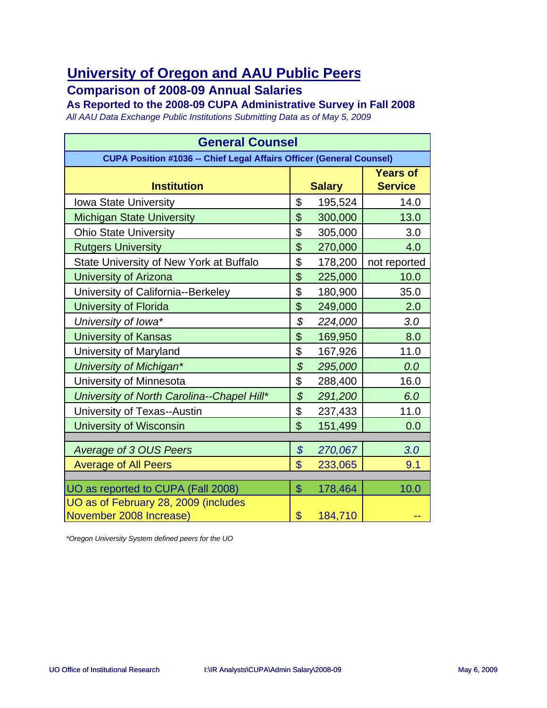#### **Comparison of 2008-09 Annual Salaries**

**As Reported to the 2008-09 CUPA Administrative Survey in Fall 2008**

*All AAU Data Exchange Public Institutions Submitting Data as of May 5, 2009*

| <b>General Counsel</b>                                                      |                            |               |                                   |
|-----------------------------------------------------------------------------|----------------------------|---------------|-----------------------------------|
| <b>CUPA Position #1036 -- Chief Legal Affairs Officer (General Counsel)</b> |                            |               |                                   |
| <b>Institution</b>                                                          |                            | <b>Salary</b> | <b>Years of</b><br><b>Service</b> |
| <b>Iowa State University</b>                                                | \$                         | 195,524       | 14.0                              |
| <b>Michigan State University</b>                                            | \$                         | 300,000       | 13.0                              |
| <b>Ohio State University</b>                                                | \$                         | 305,000       | 3.0                               |
| <b>Rutgers University</b>                                                   | \$                         | 270,000       | 4.0                               |
| State University of New York at Buffalo                                     | \$                         | 178,200       | not reported                      |
| <b>University of Arizona</b>                                                | \$                         | 225,000       | 10.0                              |
| University of California--Berkeley                                          | \$                         | 180,900       | 35.0                              |
| <b>University of Florida</b>                                                | \$                         | 249,000       | 2.0                               |
| University of Iowa*                                                         | \$                         | 224,000       | 3.0                               |
| <b>University of Kansas</b>                                                 | \$                         | 169,950       | 8.0                               |
| University of Maryland                                                      | \$                         | 167,926       | 11.0                              |
| University of Michigan*                                                     | \$                         | 295,000       | 0.0                               |
| University of Minnesota                                                     | \$                         | 288,400       | 16.0                              |
| University of North Carolina--Chapel Hill*                                  | $\boldsymbol{\mathcal{S}}$ | 291,200       | 6.0                               |
| University of Texas--Austin                                                 | \$                         | 237,433       | 11.0                              |
| <b>University of Wisconsin</b>                                              | $\mathfrak{S}$             | 151,499       | 0.0                               |
|                                                                             |                            |               |                                   |
| <b>Average of 3 OUS Peers</b>                                               | $\boldsymbol{\mathcal{S}}$ | 270,067       | 3.0                               |
| <b>Average of All Peers</b>                                                 | $\mathbf{\$}$              | 233,065       | 9.1                               |
| UO as reported to CUPA (Fall 2008)                                          | $\mathcal{S}$              | 178,464       | 10.0                              |
| UO as of February 28, 2009 (includes                                        |                            |               |                                   |
| November 2008 Increase)                                                     | \$                         | 184,710       |                                   |